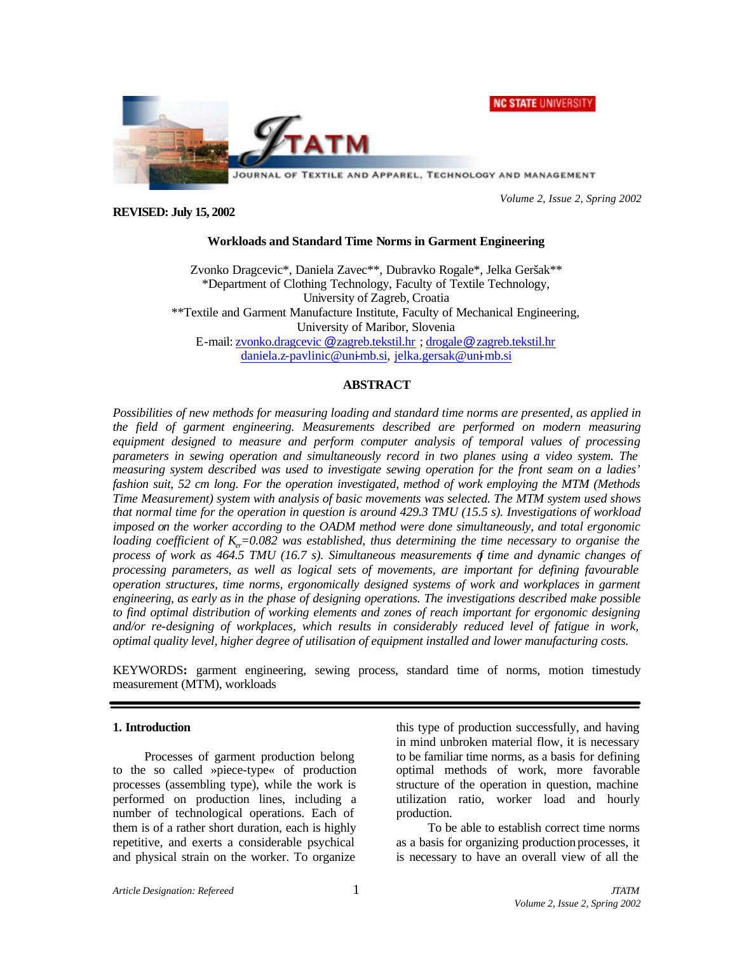

*Volume 2, Issue 2, Spring 2002*

#### **REVISED: July 15, 2002**

## **Workloads and Standard Time Norms in Garment Engineering**

Zvonko Dragcevic\*, Daniela Zavec\*\*, Dubravko Rogale\*, Jelka Geršak\*\* \*Department of Clothing Technology, Faculty of Textile Technology, University of Zagreb, Croatia \*\*Textile and Garment Manufacture Institute, Faculty of Mechanical Engineering, University of Maribor, Slovenia E-mail: zvonko.dragcevic @zagreb.tekstil.hr ; drogale@zagreb.tekstil.hr daniela.z-pavlinic@uni-mb.si, jelka.gersak@uni-mb.si

# **ABSTRACT**

*Possibilities of new methods for measuring loading and standard time norms are presented, as applied in the field of garment engineering. Measurements described are performed on modern measuring equipment designed to measure and perform computer analysis of temporal values of processing parameters in sewing operation and simultaneously record in two planes using a video system. The measuring system described was used to investigate sewing operation for the front seam on a ladies' fashion suit, 52 cm long. For the operation investigated, method of work employing the MTM (Methods Time Measurement) system with analysis of basic movements was selected. The MTM system used shows that normal time for the operation in question is around 429.3 TMU (15.5 s). Investigations of workload imposed on the worker according to the OADM method were done simultaneously, and total ergonomic loading coefficient of K<sub>e</sub>=0.082 was established, thus determining the time necessary to organise the process of work as 464.5 TMU (16.7 s). Simultaneous measurements of time and dynamic changes of processing parameters, as well as logical sets of movements, are important for defining favourable operation structures, time norms, ergonomically designed systems of work and workplaces in garment engineering, as early as in the phase of designing operations. The investigations described make possible to find optimal distribution of working elements and zones of reach important for ergonomic designing and/or re-designing of workplaces, which results in considerably reduced level of fatigue in work, optimal quality level, higher degree of utilisation of equipment installed and lower manufacturing costs.* 

KEYWORDS**:** garment engineering, sewing process, standard time of norms, motion timestudy measurement (MTM), workloads

#### **1. Introduction**

Processes of garment production belong to the so called »piece-type« of production processes (assembling type), while the work is performed on production lines, including a number of technological operations. Each of them is of a rather short duration, each is highly repetitive, and exerts a considerable psychical and physical strain on the worker. To organize this type of production successfully, and having in mind unbroken material flow, it is necessary to be familiar time norms, as a basis for defining optimal methods of work, more favorable structure of the operation in question, machine utilization ratio, worker load and hourly production.

To be able to establish correct time norms as a basis for organizing production processes, it is necessary to have an overall view of all the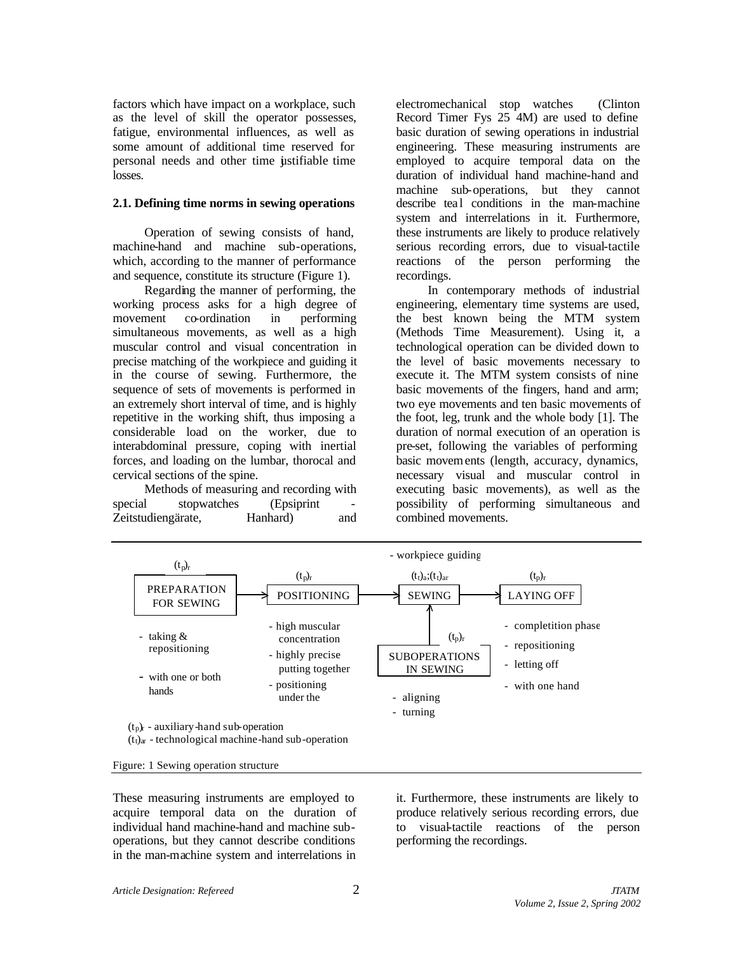factors which have impact on a workplace, such as the level of skill the operator possesses, fatigue, environmental influences, as well as some amount of additional time reserved for personal needs and other time ustifiable time losses.

#### **2.1. Defining time norms in sewing operations**

Operation of sewing consists of hand, machine-hand and machine sub-operations, which, according to the manner of performance and sequence, constitute its structure (Figure 1).

Regarding the manner of performing, the working process asks for a high degree of movement co-ordination in performing simultaneous movements, as well as a high muscular control and visual concentration in precise matching of the workpiece and guiding it in the course of sewing. Furthermore, the sequence of sets of movements is performed in an extremely short interval of time, and is highly repetitive in the working shift, thus imposing a considerable load on the worker, due to interabdominal pressure, coping with inertial forces, and loading on the lumbar, thorocal and cervical sections of the spine.

Methods of measuring and recording with special stopwatches (Epsiprint Zeitstudiengärate, Hanhard) and

electromechanical stop watches (Clinton Record Timer Fys 25 4M) are used to define basic duration of sewing operations in industrial engineering. These measuring instruments are employed to acquire temporal data on the duration of individual hand machine-hand and machine sub-operations, but they cannot describe teal conditions in the man-machine system and interrelations in it. Furthermore, these instruments are likely to produce relatively serious recording errors, due to visual-tactile reactions of the person performing the recordings.

In contemporary methods of industrial engineering, elementary time systems are used, the best known being the MTM system (Methods Time Measurement). Using it, a technological operation can be divided down to the level of basic movements necessary to execute it. The MTM system consists of nine basic movements of the fingers, hand and arm; two eye movements and ten basic movements of the foot, leg, trunk and the whole body [1]. The duration of normal execution of an operation is pre-set, following the variables of performing basic movements (length, accuracy, dynamics, necessary visual and muscular control in executing basic movements), as well as the possibility of performing simultaneous and combined movements.



Figure: 1 Sewing operation structure

These measuring instruments are employed to acquire temporal data on the duration of individual hand machine-hand and machine suboperations, but they cannot describe conditions in the man-machine system and interrelations in it. Furthermore, these instruments are likely to produce relatively serious recording errors, due to visual-tactile reactions of the person performing the recordings.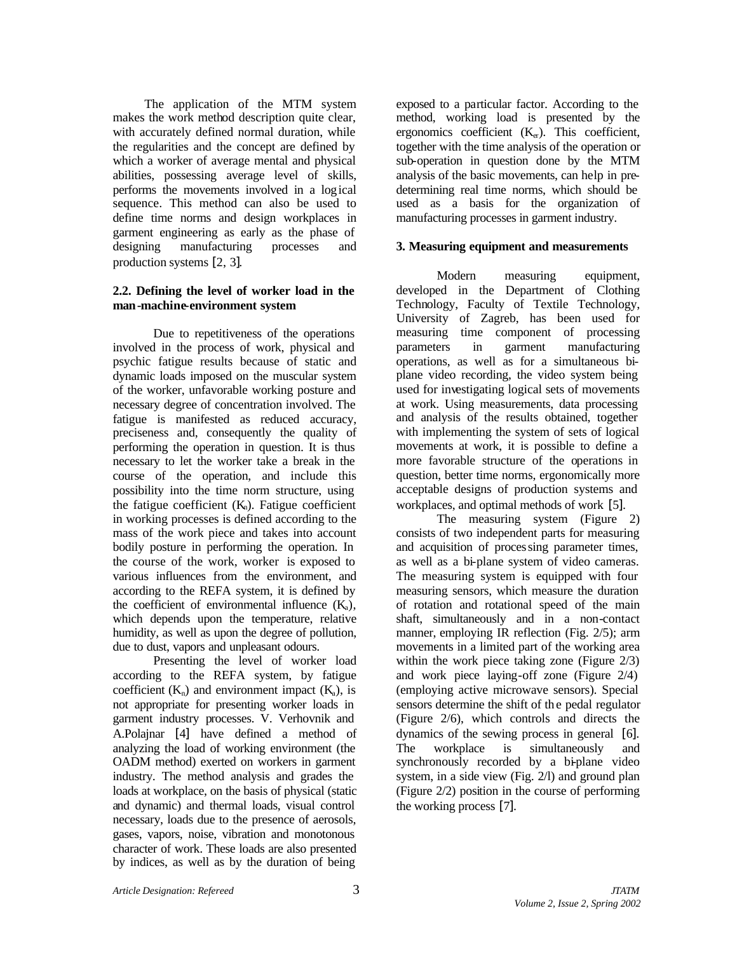The application of the MTM system makes the work method description quite clear, with accurately defined normal duration, while the regularities and the concept are defined by which a worker of average mental and physical abilities, possessing average level of skills, performs the movements involved in a logical sequence. This method can also be used to define time norms and design workplaces in garment engineering as early as the phase of designing manufacturing processes and production systems [2, 3].

## **2.2. Defining the level of worker load in the man-machine-environment system**

Due to repetitiveness of the operations involved in the process of work, physical and psychic fatigue results because of static and dynamic loads imposed on the muscular system of the worker, unfavorable working posture and necessary degree of concentration involved. The fatigue is manifested as reduced accuracy, preciseness and, consequently the quality of performing the operation in question. It is thus necessary to let the worker take a break in the course of the operation, and include this possibility into the time norm structure, using the fatigue coefficient  $(K_n)$ . Fatigue coefficient in working processes is defined according to the mass of the work piece and takes into account bodily posture in performing the operation. In the course of the work, worker is exposed to various influences from the environment, and according to the REFA system, it is defined by the coefficient of environmental influence  $(K_a)$ , which depends upon the temperature, relative humidity, as well as upon the degree of pollution, due to dust, vapors and unpleasant odours.

Presenting the level of worker load according to the REFA system, by fatigue coefficient  $(K_n)$  and environment impact  $(K_n)$ , is not appropriate for presenting worker loads in garment industry processes. V. Verhovnik and A.Polajnar [4] have defined a method of analyzing the load of working environment (the OADM method) exerted on workers in garment industry. The method analysis and grades the loads at workplace, on the basis of physical (static and dynamic) and thermal loads, visual control necessary, loads due to the presence of aerosols, gases, vapors, noise, vibration and monotonous character of work. These loads are also presented by indices, as well as by the duration of being

exposed to a particular factor. According to the method, working load is presented by the ergonomics coefficient  $(K_{cr})$ . This coefficient, together with the time analysis of the operation or sub-operation in question done by the MTM analysis of the basic movements, can help in predetermining real time norms, which should be used as a basis for the organization of manufacturing processes in garment industry.

### **3. Measuring equipment and measurements**

Modern measuring equipment, developed in the Department of Clothing Technology, Faculty of Textile Technology, University of Zagreb, has been used for measuring time component of processing parameters in garment manufacturing operations, as well as for a simultaneous biplane video recording, the video system being used for investigating logical sets of movements at work. Using measurements, data processing and analysis of the results obtained, together with implementing the system of sets of logical movements at work, it is possible to define a more favorable structure of the operations in question, better time norms, ergonomically more acceptable designs of production systems and workplaces, and optimal methods of work [5].

The measuring system (Figure 2) consists of two independent parts for measuring and acquisition of processing parameter times, as well as a bi-plane system of video cameras. The measuring system is equipped with four measuring sensors, which measure the duration of rotation and rotational speed of the main shaft, simultaneously and in a non-contact manner, employing IR reflection (Fig. 2/5); arm movements in a limited part of the working area within the work piece taking zone (Figure 2/3) and work piece laying-off zone (Figure 2/4) (employing active microwave sensors). Special sensors determine the shift of the pedal regulator (Figure 2/6), which controls and directs the dynamics of the sewing process in general [6]. The workplace is simultaneously and synchronously recorded by a bi-plane video system, in a side view (Fig. 2/l) and ground plan (Figure 2/2) position in the course of performing the working process [7].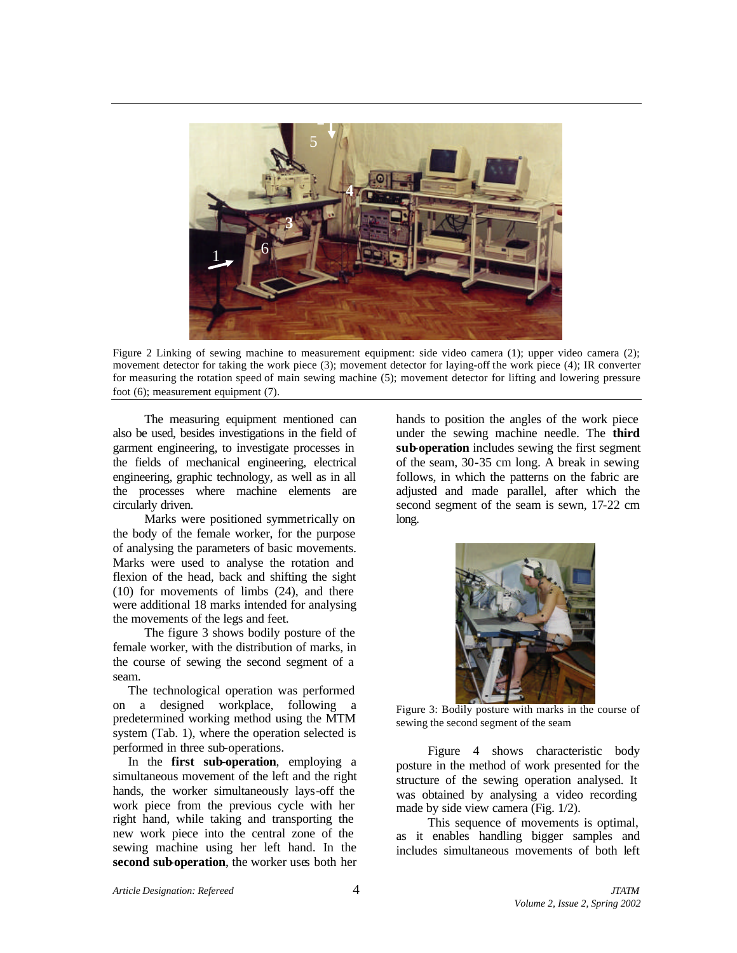

Figure 2 Linking of sewing machine to measurement equipment: side video camera (1); upper video camera (2); movement detector for taking the work piece (3); movement detector for laying-off the work piece (4); IR converter for measuring the rotation speed of main sewing machine (5); movement detector for lifting and lowering pressure foot (6); measurement equipment (7).

The measuring equipment mentioned can also be used, besides investigations in the field of garment engineering, to investigate processes in the fields of mechanical engineering, electrical engineering, graphic technology, as well as in all the processes where machine elements are circularly driven.

Marks were positioned symmetrically on the body of the female worker, for the purpose of analysing the parameters of basic movements. Marks were used to analyse the rotation and flexion of the head, back and shifting the sight (10) for movements of limbs (24), and there were additional 18 marks intended for analysing the movements of the legs and feet.

The figure 3 shows bodily posture of the female worker, with the distribution of marks, in the course of sewing the second segment of a seam.

The technological operation was performed on a designed workplace, following a predetermined working method using the MTM system (Tab. 1), where the operation selected is performed in three sub-operations.

In the **first sub-operation**, employing a simultaneous movement of the left and the right hands, the worker simultaneously lays-off the work piece from the previous cycle with her right hand, while taking and transporting the new work piece into the central zone of the sewing machine using her left hand. In the **second sub-operation**, the worker uses both her

hands to position the angles of the work piece under the sewing machine needle. The **third sub-operation** includes sewing the first segment of the seam, 30-35 cm long. A break in sewing follows, in which the patterns on the fabric are adjusted and made parallel, after which the second segment of the seam is sewn, 17-22 cm long.



Figure 3: Bodily posture with marks in the course of sewing the second segment of the seam

Figure 4 shows characteristic body posture in the method of work presented for the structure of the sewing operation analysed. It was obtained by analysing a video recording made by side view camera (Fig. 1/2).

This sequence of movements is optimal. as it enables handling bigger samples and includes simultaneous movements of both left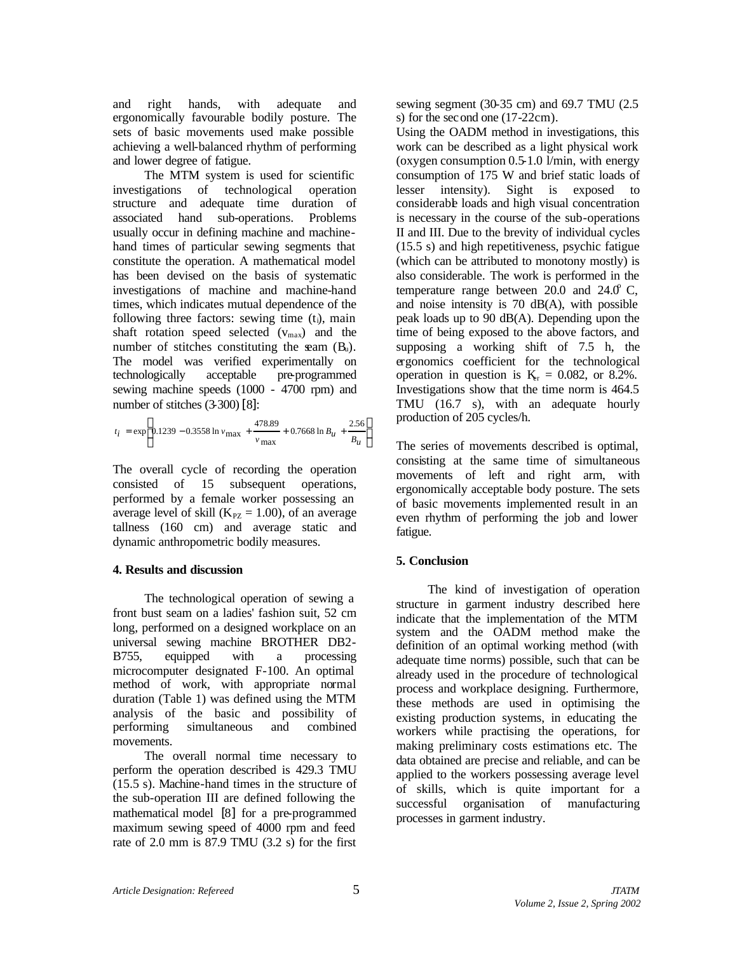and right hands, with adequate and ergonomically favourable bodily posture. The sets of basic movements used make possible achieving a well-balanced rhythm of performing and lower degree of fatigue.

The MTM system is used for scientific investigations of technological operation structure and adequate time duration of associated hand sub-operations. Problems usually occur in defining machine and machinehand times of particular sewing segments that constitute the operation. A mathematical model has been devised on the basis of systematic investigations of machine and machine-hand times, which indicates mutual dependence of the following three factors: sewing time  $(t<sub>i</sub>)$ , main shaft rotation speed selected  $(v_{max})$  and the number of stitches constituting the seam  $(B_u)$ . The model was verified experimentally on technologically acceptable pre-programmed sewing machine speeds (1000 - 4700 rpm) and number of stitches (3-300) [8]:

$$
t_{\rm i} = \exp \left[ 0.1239 - 0.3558 \ln v_{\rm max} + \frac{478.89}{v_{\rm max}} + 0.7668 \ln B_u + \frac{2.56}{B_u} \right]
$$

The overall cycle of recording the operation consisted of 15 subsequent operations, performed by a female worker possessing an average level of skill ( $K_{PZ} = 1.00$ ), of an average tallness (160 cm) and average static and dynamic anthropometric bodily measures.

### **4. Results and discussion**

The technological operation of sewing a front bust seam on a ladies' fashion suit, 52 cm long, performed on a designed workplace on an universal sewing machine BROTHER DB2- B755, equipped with a processing microcomputer designated F-100. An optimal method of work, with appropriate normal duration (Table 1) was defined using the MTM analysis of the basic and possibility of performing simultaneous and combined movements.

The overall normal time necessary to perform the operation described is 429.3 TMU (15.5 s). Machine-hand times in the structure of the sub-operation III are defined following the mathematical model [8] for a pre-programmed maximum sewing speed of 4000 rpm and feed rate of 2.0 mm is 87.9 TMU (3.2 s) for the first

sewing segment (30-35 cm) and 69.7 TMU (2.5 s) for the second one (17-22cm).

Using the OADM method in investigations, this work can be described as a light physical work (oxygen consumption 0.5-1.0 l/min, with energy consumption of 175 W and brief static loads of lesser intensity). Sight is exposed to considerable loads and high visual concentration is necessary in the course of the sub-operations II and III. Due to the brevity of individual cycles (15.5 s) and high repetitiveness, psychic fatigue (which can be attributed to monotony mostly) is also considerable. The work is performed in the temperature range between  $20.0$  and  $24.0^{\circ}$  C, and noise intensity is 70 dB(A), with possible peak loads up to 90 dB(A). Depending upon the time of being exposed to the above factors, and supposing a working shift of 7.5 h, the ergonomics coefficient for the technological operation in question is  $K_{\text{er}} = 0.082$ , or 8.2%. Investigations show that the time norm is 464.5 TMU (16.7 s), with an adequate hourly production of 205 cycles/h.

The series of movements described is optimal, consisting at the same time of simultaneous movements of left and right arm, with ergonomically acceptable body posture. The sets of basic movements implemented result in an even rhythm of performing the job and lower fatigue.

### **5. Conclusion**

The kind of investigation of operation structure in garment industry described here indicate that the implementation of the MTM system and the OADM method make the definition of an optimal working method (with adequate time norms) possible, such that can be already used in the procedure of technological process and workplace designing. Furthermore, these methods are used in optimising the existing production systems, in educating the workers while practising the operations, for making preliminary costs estimations etc. The data obtained are precise and reliable, and can be applied to the workers possessing average level of skills, which is quite important for a successful organisation of manufacturing processes in garment industry.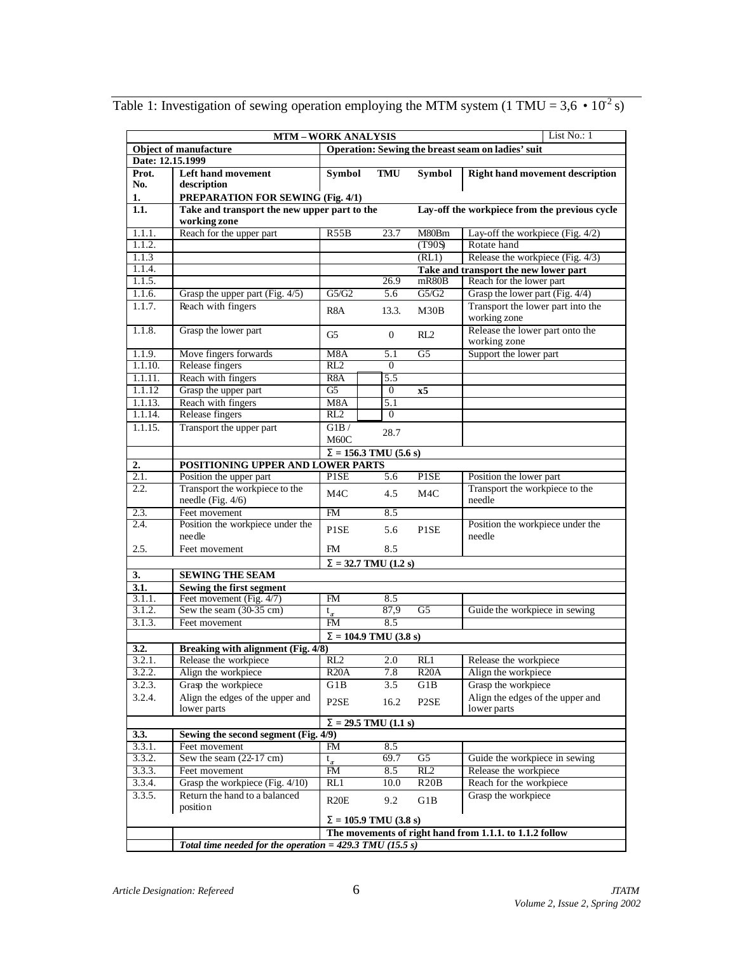|                                                                                   |                                                                                                               | List No.: 1<br><b>MTM-WORK ANALYSIS</b> |                 |                   |                                                           |  |
|-----------------------------------------------------------------------------------|---------------------------------------------------------------------------------------------------------------|-----------------------------------------|-----------------|-------------------|-----------------------------------------------------------|--|
| Operation: Sewing the breast seam on ladies' suit<br><b>Object of manufacture</b> |                                                                                                               |                                         |                 |                   |                                                           |  |
| Date: 12.15.1999                                                                  |                                                                                                               |                                         |                 |                   |                                                           |  |
| Prot.                                                                             | <b>Left hand movement</b>                                                                                     | Symbol                                  | <b>TMU</b>      | Symbol            | <b>Right hand movement description</b>                    |  |
| No.                                                                               | description                                                                                                   |                                         |                 |                   |                                                           |  |
| 1.                                                                                | PREPARATION FOR SEWING (Fig. 4/1)                                                                             |                                         |                 |                   |                                                           |  |
| 1.1.                                                                              | Take and transport the new upper part to the<br>Lay-off the workpiece from the previous cycle<br>working zone |                                         |                 |                   |                                                           |  |
| 1.1.1.                                                                            | Reach for the upper part                                                                                      | R55B                                    | 23.7            | M80Bm             | Lay-off the workpiece (Fig. 4/2)                          |  |
| 1.1.2.                                                                            |                                                                                                               |                                         |                 | (T90S)            | Rotate hand                                               |  |
| 1.1.3                                                                             |                                                                                                               |                                         |                 | (RL1)             | Release the workpiece (Fig. 4/3)                          |  |
| 1.1.4.                                                                            |                                                                                                               |                                         |                 |                   | Take and transport the new lower part                     |  |
| 1.1.5.                                                                            |                                                                                                               |                                         | 26.9            | mR80B             | Reach for the lower part                                  |  |
| 1.1.6.                                                                            | Grasp the upper part (Fig. 4/5)                                                                               | G5/G2                                   | 5.6             | G5/G2             | Grasp the lower part (Fig. 4/4)                           |  |
| 1.1.7.                                                                            | Reach with fingers                                                                                            | R <sub>8</sub> A                        | 13.3.           | M30B              | Transport the lower part into the<br>working zone         |  |
| 1.1.8.                                                                            | Grasp the lower part                                                                                          | G <sub>5</sub>                          | $\mathbf{0}$    | RL2               | Release the lower part onto the<br>working zone           |  |
| 1.1.9.                                                                            | Move fingers forwards                                                                                         | M8A                                     | 5.1             | G <sub>5</sub>    | Support the lower part                                    |  |
| 1.1.10.                                                                           | Release fingers                                                                                               | RL2                                     | $\theta$        |                   |                                                           |  |
| 1.1.11.                                                                           | Reach with fingers                                                                                            | R <sub>8</sub> A                        | 5.5             |                   |                                                           |  |
| 1.1.12                                                                            | Grasp the upper part                                                                                          | G <sub>5</sub>                          | $\theta$        | x5                |                                                           |  |
| 1.1.13.<br>1.1.14.                                                                | Reach with fingers<br>Release fingers                                                                         | M8A<br>RL2                              | 5.1<br>$\theta$ |                   |                                                           |  |
| 1.1.15.                                                                           | Transport the upper part                                                                                      | G1B/                                    |                 |                   |                                                           |  |
|                                                                                   |                                                                                                               | M60C                                    | 28.7            |                   |                                                           |  |
|                                                                                   | $S = 156.3$ TMU (5.6 s)                                                                                       |                                         |                 |                   |                                                           |  |
| 2.<br>2.1.                                                                        | POSITIONING UPPER AND LOWER PARTS                                                                             | <b>PISE</b>                             | 5.6             | <b>PISE</b>       |                                                           |  |
| 2.2.                                                                              | Position the upper part<br>Transport the workpiece to the                                                     |                                         |                 |                   | Position the lower part<br>Transport the workpiece to the |  |
|                                                                                   | needle (Fig. 4/6)                                                                                             | M4C                                     | 4.5             | M4C               | needle                                                    |  |
| 2.3.                                                                              | Feet movement                                                                                                 | FM                                      | 8.5             |                   |                                                           |  |
| 2.4.                                                                              | Position the workpiece under the<br>needle                                                                    | P1SE                                    | 5.6             | P <sub>1</sub> SE | Position the workpiece under the<br>needle                |  |
| 2.5.                                                                              | Feet movement                                                                                                 | FM.                                     | 8.5             |                   |                                                           |  |
|                                                                                   | $S = 32.7$ TMU (1.2 s)                                                                                        |                                         |                 |                   |                                                           |  |
| 3.                                                                                | <b>SEWING THE SEAM</b>                                                                                        |                                         |                 |                   |                                                           |  |
| 3.1.                                                                              | Sewing the first segment                                                                                      |                                         |                 |                   |                                                           |  |
| 3.1.1.                                                                            | Feet movement (Fig. 4/7)                                                                                      | FM                                      | 8.5             |                   |                                                           |  |
| 3.1.2.                                                                            | Sew the seam (30-35 cm)                                                                                       | $t_{\rm r}$<br><b>FM</b>                | 87,9<br>8.5     | G5                | Guide the workpiece in sewing                             |  |
| 3.1.3.                                                                            | Feet movement                                                                                                 |                                         |                 |                   |                                                           |  |
|                                                                                   | $S = 104.9$ TMU (3.8 s)<br>Breaking with alignment (Fig. 4/8)<br>3.2.                                         |                                         |                 |                   |                                                           |  |
| 3.2.1.                                                                            | Release the workpiece                                                                                         | RL <sub>2</sub>                         | 2.0             | RL1               | Release the workpiece                                     |  |
| 3.2.2.                                                                            | Align the workpiece                                                                                           | R20A                                    | 7.8             | R20A              | Align the workpiece                                       |  |
| 3.2.3.                                                                            | Grasp the workpiece                                                                                           | G1B                                     | 3.5             | G1B               | Grasp the workpiece                                       |  |
| 3.2.4.                                                                            | Align the edges of the upper and                                                                              |                                         |                 |                   | Align the edges of the upper and                          |  |
|                                                                                   | lower parts                                                                                                   | P <sub>2</sub> SE                       | 16.2            | P <sub>2</sub> SE | lower parts                                               |  |
| 3.3.                                                                              | $S = 29.5$ TMU $(1.1 s)$<br>Sewing the second segment (Fig. 4/9)                                              |                                         |                 |                   |                                                           |  |
| 3.3.1.                                                                            | Feet movement                                                                                                 | FM                                      | 8.5             |                   |                                                           |  |
| 3.3.2.                                                                            | Sew the seam $(22-17 \text{ cm})$                                                                             | $t_{\rm r}$                             | 69.7            | G <sub>5</sub>    | Guide the workpiece in sewing                             |  |
| 3.3.3.                                                                            | Feet movement                                                                                                 | FM                                      | 8.5             | RL2               | Release the workpiece                                     |  |
| 3.3.4.                                                                            | Grasp the workpiece (Fig. 4/10)                                                                               | RL1                                     | 10.0            | R20B              | Reach for the workpiece                                   |  |
| 3.3.5.                                                                            | Return the hand to a balanced<br>position                                                                     | R20E                                    | 9.2             | G1B               | Grasp the workpiece                                       |  |
|                                                                                   | $S = 105.9$ TMU (3.8 s)                                                                                       |                                         |                 |                   |                                                           |  |
|                                                                                   | The movements of right hand from 1.1.1. to 1.1.2 follow                                                       |                                         |                 |                   |                                                           |  |
|                                                                                   | Total time needed for the operation = $429.3$ TMU (15.5 s)                                                    |                                         |                 |                   |                                                           |  |

Table 1: Investigation of sewing operation employing the MTM system (1 TMU = 3,6  $\cdot$  10<sup>2</sup> s)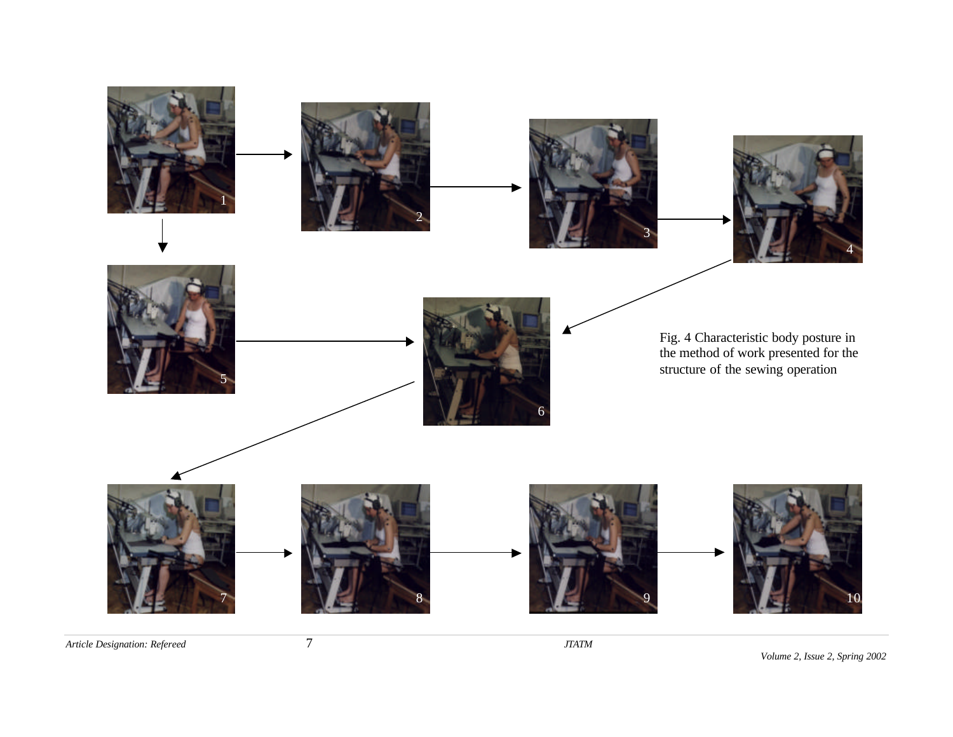